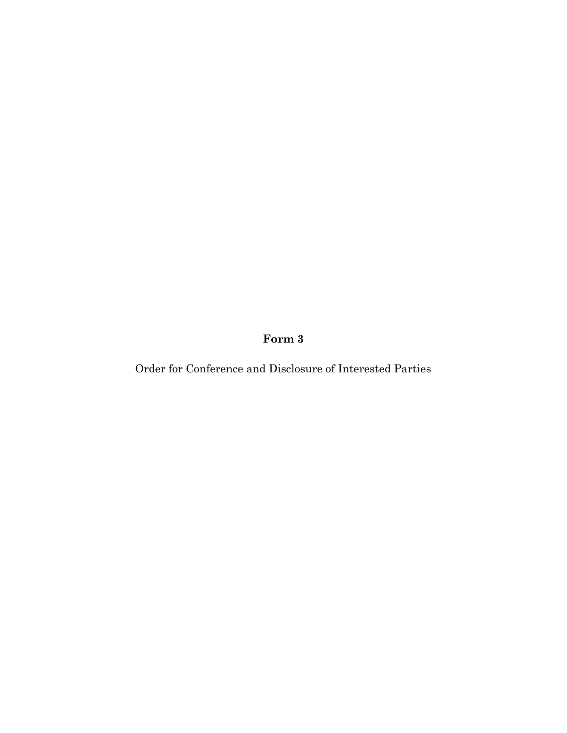**Form 3**

Order for Conference and Disclosure of Interested Parties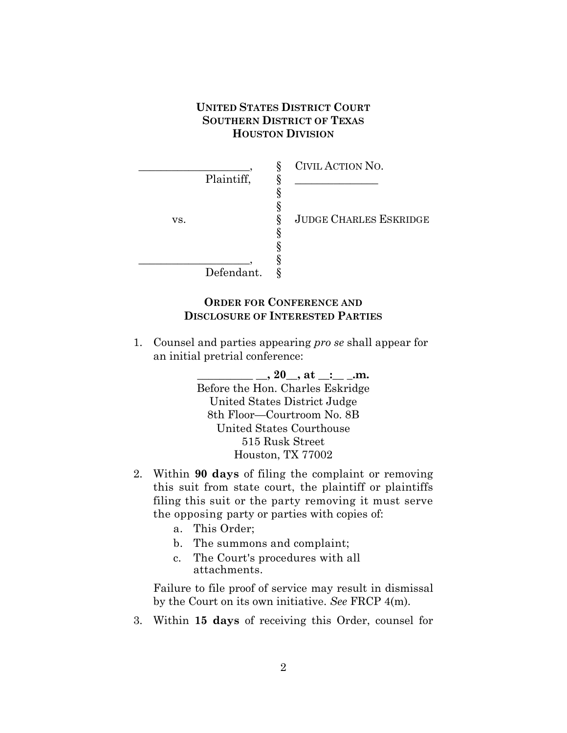## **UNITED STATES DISTRICT COURT SOUTHERN DISTRICT OF TEXAS HOUSTON DIVISION**

|            | CIVIL ACTION NO.<br>Ş              |
|------------|------------------------------------|
| Plaintiff, |                                    |
|            |                                    |
|            |                                    |
| VS.        | <b>JUDGE CHARLES ESKRIDGE</b><br>8 |
|            |                                    |
|            |                                    |
|            |                                    |
| Defendant. |                                    |

## **ORDER FOR CONFERENCE AND DISCLOSURE OF INTERESTED PARTIES**

1. Counsel and parties appearing *pro se* shall appear for an initial pretrial conference:

> **\_\_\_\_\_\_\_\_\_\_ \_\_, 20\_\_, at \_\_:\_\_ \_.m.** Before the Hon. Charles Eskridge United States District Judge 8th Floor—Courtroom No. 8B United States Courthouse 515 Rusk Street Houston, TX 77002

- 2. Within **90 days** of filing the complaint or removing this suit from state court, the plaintiff or plaintiffs filing this suit or the party removing it must serve the opposing party or parties with copies of:
	- a. This Order;
	- b. The summons and complaint;
	- c. The Court's procedures with all attachments.

Failure to file proof of service may result in dismissal by the Court on its own initiative. *See* FRCP 4(m).

3. Within **15 days** of receiving this Order, counsel for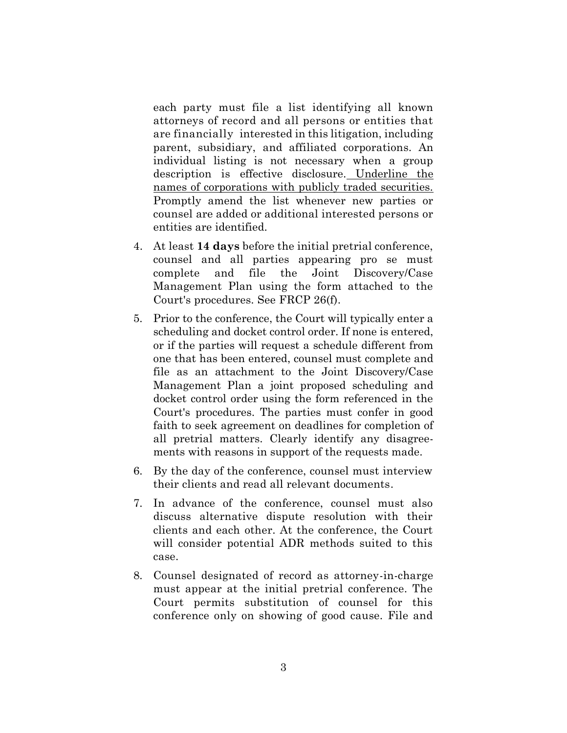each party must file a list identifying all known attorneys of record and all persons or entities that are financially interested in this litigation, including parent, subsidiary, and affiliated corporations. An individual listing is not necessary when a group description is effective disclosure. Underline the names of corporations with publicly traded securities. Promptly amend the list whenever new parties or counsel are added or additional interested persons or entities are identified.

- 4. At least **14 days** before the initial pretrial conference, counsel and all parties appearing pro se must complete and file the Joint Discovery/Case Management Plan using the form attached to the Court's procedures. See FRCP 26(f).
- 5. Prior to the conference, the Court will typically enter a scheduling and docket control order. If none is entered, or if the parties will request a schedule different from one that has been entered, counsel must complete and file as an attachment to the Joint Discovery/Case Management Plan a joint proposed scheduling and docket control order using the form referenced in the Court's procedures. The parties must confer in good faith to seek agreement on deadlines for completion of all pretrial matters. Clearly identify any disagreements with reasons in support of the requests made.
- 6. By the day of the conference, counsel must interview their clients and read all relevant documents.
- 7. In advance of the conference, counsel must also discuss alternative dispute resolution with their clients and each other. At the conference, the Court will consider potential ADR methods suited to this case.
- 8. Counsel designated of record as attorney-in-charge must appear at the initial pretrial conference. The Court permits substitution of counsel for this conference only on showing of good cause. File and